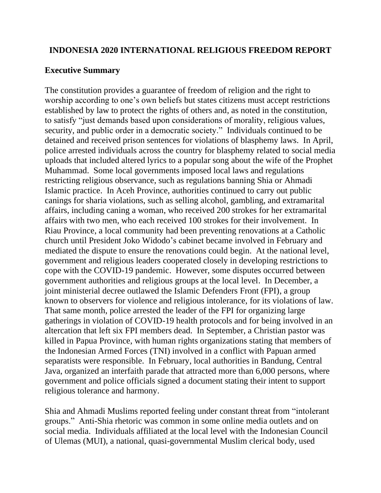#### **INDONESIA 2020 INTERNATIONAL RELIGIOUS FREEDOM REPORT**

#### **Executive Summary**

The constitution provides a guarantee of freedom of religion and the right to worship according to one's own beliefs but states citizens must accept restrictions established by law to protect the rights of others and, as noted in the constitution, to satisfy "just demands based upon considerations of morality, religious values, security, and public order in a democratic society." Individuals continued to be detained and received prison sentences for violations of blasphemy laws. In April, police arrested individuals across the country for blasphemy related to social media uploads that included altered lyrics to a popular song about the wife of the Prophet Muhammad. Some local governments imposed local laws and regulations restricting religious observance, such as regulations banning Shia or Ahmadi Islamic practice. In Aceh Province, authorities continued to carry out public canings for sharia violations, such as selling alcohol, gambling, and extramarital affairs, including caning a woman, who received 200 strokes for her extramarital affairs with two men, who each received 100 strokes for their involvement. In Riau Province, a local community had been preventing renovations at a Catholic church until President Joko Widodo's cabinet became involved in February and mediated the dispute to ensure the renovations could begin. At the national level, government and religious leaders cooperated closely in developing restrictions to cope with the COVID-19 pandemic. However, some disputes occurred between government authorities and religious groups at the local level. In December, a joint ministerial decree outlawed the Islamic Defenders Front (FPI), a group known to observers for violence and religious intolerance, for its violations of law. That same month, police arrested the leader of the FPI for organizing large gatherings in violation of COVID-19 health protocols and for being involved in an altercation that left six FPI members dead. In September, a Christian pastor was killed in Papua Province, with human rights organizations stating that members of the Indonesian Armed Forces (TNI) involved in a conflict with Papuan armed separatists were responsible. In February, local authorities in Bandung, Central Java, organized an interfaith parade that attracted more than 6,000 persons, where government and police officials signed a document stating their intent to support religious tolerance and harmony.

Shia and Ahmadi Muslims reported feeling under constant threat from "intolerant groups." Anti-Shia rhetoric was common in some online media outlets and on social media. Individuals affiliated at the local level with the Indonesian Council of Ulemas (MUI), a national, quasi-governmental Muslim clerical body, used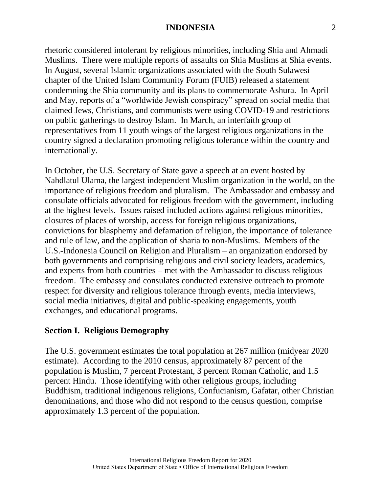rhetoric considered intolerant by religious minorities, including Shia and Ahmadi Muslims. There were multiple reports of assaults on Shia Muslims at Shia events. In August, several Islamic organizations associated with the South Sulawesi chapter of the United Islam Community Forum (FUIB) released a statement condemning the Shia community and its plans to commemorate Ashura. In April and May, reports of a "worldwide Jewish conspiracy" spread on social media that claimed Jews, Christians, and communists were using COVID-19 and restrictions on public gatherings to destroy Islam. In March, an interfaith group of representatives from 11 youth wings of the largest religious organizations in the country signed a declaration promoting religious tolerance within the country and internationally.

In October, the U.S. Secretary of State gave a speech at an event hosted by Nahdlatul Ulama, the largest independent Muslim organization in the world, on the importance of religious freedom and pluralism. The Ambassador and embassy and consulate officials advocated for religious freedom with the government, including at the highest levels. Issues raised included actions against religious minorities, closures of places of worship, access for foreign religious organizations, convictions for blasphemy and defamation of religion, the importance of tolerance and rule of law, and the application of sharia to non-Muslims. Members of the U.S.-Indonesia Council on Religion and Pluralism – an organization endorsed by both governments and comprising religious and civil society leaders, academics, and experts from both countries – met with the Ambassador to discuss religious freedom. The embassy and consulates conducted extensive outreach to promote respect for diversity and religious tolerance through events, media interviews, social media initiatives, digital and public-speaking engagements, youth exchanges, and educational programs.

### **Section I. Religious Demography**

The U.S. government estimates the total population at 267 million (midyear 2020 estimate). According to the 2010 census, approximately 87 percent of the population is Muslim, 7 percent Protestant, 3 percent Roman Catholic, and 1.5 percent Hindu. Those identifying with other religious groups, including Buddhism, traditional indigenous religions, Confucianism, Gafatar, other Christian denominations, and those who did not respond to the census question, comprise approximately 1.3 percent of the population.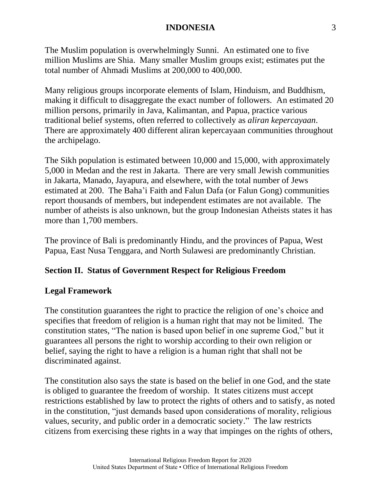The Muslim population is overwhelmingly Sunni. An estimated one to five million Muslims are Shia. Many smaller Muslim groups exist; estimates put the total number of Ahmadi Muslims at 200,000 to 400,000.

Many religious groups incorporate elements of Islam, Hinduism, and Buddhism, making it difficult to disaggregate the exact number of followers. An estimated 20 million persons, primarily in Java, Kalimantan, and Papua, practice various traditional belief systems, often referred to collectively as *aliran kepercayaan*. There are approximately 400 different aliran kepercayaan communities throughout the archipelago.

The Sikh population is estimated between 10,000 and 15,000, with approximately 5,000 in Medan and the rest in Jakarta. There are very small Jewish communities in Jakarta, Manado, Jayapura, and elsewhere, with the total number of Jews estimated at 200. The Baha'i Faith and Falun Dafa (or Falun Gong) communities report thousands of members, but independent estimates are not available. The number of atheists is also unknown, but the group Indonesian Atheists states it has more than 1,700 members.

The province of Bali is predominantly Hindu, and the provinces of Papua, West Papua, East Nusa Tenggara, and North Sulawesi are predominantly Christian.

# **Section II. Status of Government Respect for Religious Freedom**

### **Legal Framework**

The constitution guarantees the right to practice the religion of one's choice and specifies that freedom of religion is a human right that may not be limited. The constitution states, "The nation is based upon belief in one supreme God," but it guarantees all persons the right to worship according to their own religion or belief, saying the right to have a religion is a human right that shall not be discriminated against.

The constitution also says the state is based on the belief in one God, and the state is obliged to guarantee the freedom of worship. It states citizens must accept restrictions established by law to protect the rights of others and to satisfy, as noted in the constitution, "just demands based upon considerations of morality, religious values, security, and public order in a democratic society." The law restricts citizens from exercising these rights in a way that impinges on the rights of others,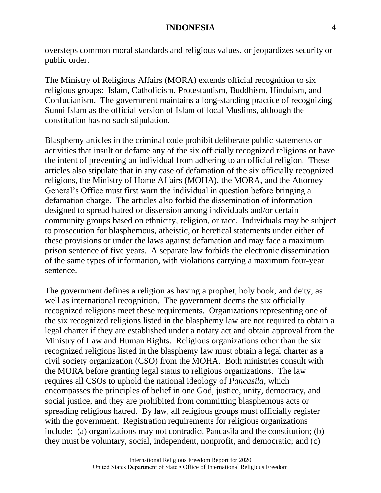oversteps common moral standards and religious values, or jeopardizes security or public order.

The Ministry of Religious Affairs (MORA) extends official recognition to six religious groups: Islam, Catholicism, Protestantism, Buddhism, Hinduism, and Confucianism. The government maintains a long-standing practice of recognizing Sunni Islam as the official version of Islam of local Muslims, although the constitution has no such stipulation.

Blasphemy articles in the criminal code prohibit deliberate public statements or activities that insult or defame any of the six officially recognized religions or have the intent of preventing an individual from adhering to an official religion. These articles also stipulate that in any case of defamation of the six officially recognized religions, the Ministry of Home Affairs (MOHA), the MORA, and the Attorney General's Office must first warn the individual in question before bringing a defamation charge. The articles also forbid the dissemination of information designed to spread hatred or dissension among individuals and/or certain community groups based on ethnicity, religion, or race. Individuals may be subject to prosecution for blasphemous, atheistic, or heretical statements under either of these provisions or under the laws against defamation and may face a maximum prison sentence of five years. A separate law forbids the electronic dissemination of the same types of information, with violations carrying a maximum four-year sentence.

The government defines a religion as having a prophet, holy book, and deity, as well as international recognition. The government deems the six officially recognized religions meet these requirements. Organizations representing one of the six recognized religions listed in the blasphemy law are not required to obtain a legal charter if they are established under a notary act and obtain approval from the Ministry of Law and Human Rights. Religious organizations other than the six recognized religions listed in the blasphemy law must obtain a legal charter as a civil society organization (CSO) from the MOHA. Both ministries consult with the MORA before granting legal status to religious organizations. The law requires all CSOs to uphold the national ideology of *Pancasila*, which encompasses the principles of belief in one God, justice, unity, democracy, and social justice, and they are prohibited from committing blasphemous acts or spreading religious hatred. By law, all religious groups must officially register with the government. Registration requirements for religious organizations include: (a) organizations may not contradict Pancasila and the constitution; (b) they must be voluntary, social, independent, nonprofit, and democratic; and (c)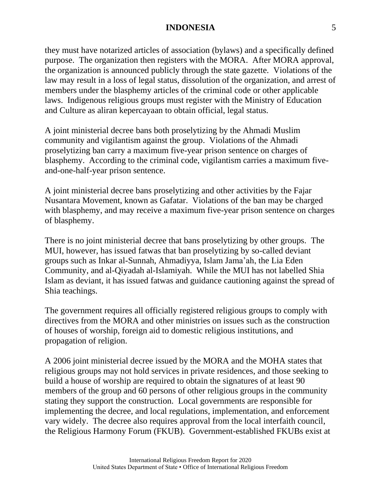they must have notarized articles of association (bylaws) and a specifically defined purpose. The organization then registers with the MORA. After MORA approval, the organization is announced publicly through the state gazette. Violations of the law may result in a loss of legal status, dissolution of the organization, and arrest of members under the blasphemy articles of the criminal code or other applicable laws. Indigenous religious groups must register with the Ministry of Education and Culture as aliran kepercayaan to obtain official, legal status.

A joint ministerial decree bans both proselytizing by the Ahmadi Muslim community and vigilantism against the group. Violations of the Ahmadi proselytizing ban carry a maximum five-year prison sentence on charges of blasphemy. According to the criminal code, vigilantism carries a maximum fiveand-one-half-year prison sentence.

A joint ministerial decree bans proselytizing and other activities by the Fajar Nusantara Movement, known as Gafatar. Violations of the ban may be charged with blasphemy, and may receive a maximum five-year prison sentence on charges of blasphemy.

There is no joint ministerial decree that bans proselytizing by other groups. The MUI, however, has issued fatwas that ban proselytizing by so-called deviant groups such as Inkar al-Sunnah, Ahmadiyya, Islam Jama'ah, the Lia Eden Community, and al-Qiyadah al-Islamiyah. While the MUI has not labelled Shia Islam as deviant, it has issued fatwas and guidance cautioning against the spread of Shia teachings.

The government requires all officially registered religious groups to comply with directives from the MORA and other ministries on issues such as the construction of houses of worship, foreign aid to domestic religious institutions, and propagation of religion.

A 2006 joint ministerial decree issued by the MORA and the MOHA states that religious groups may not hold services in private residences, and those seeking to build a house of worship are required to obtain the signatures of at least 90 members of the group and 60 persons of other religious groups in the community stating they support the construction. Local governments are responsible for implementing the decree, and local regulations, implementation, and enforcement vary widely. The decree also requires approval from the local interfaith council, the Religious Harmony Forum (FKUB). Government-established FKUBs exist at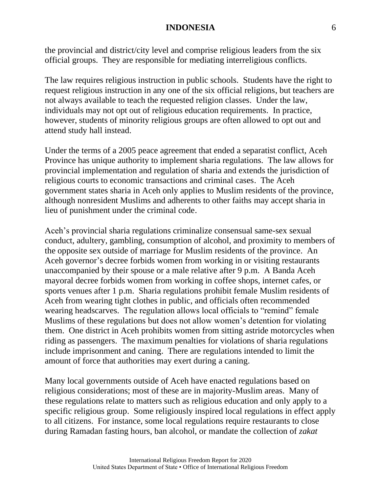the provincial and district/city level and comprise religious leaders from the six official groups. They are responsible for mediating interreligious conflicts.

The law requires religious instruction in public schools. Students have the right to request religious instruction in any one of the six official religions, but teachers are not always available to teach the requested religion classes. Under the law, individuals may not opt out of religious education requirements. In practice, however, students of minority religious groups are often allowed to opt out and attend study hall instead.

Under the terms of a 2005 peace agreement that ended a separatist conflict, Aceh Province has unique authority to implement sharia regulations. The law allows for provincial implementation and regulation of sharia and extends the jurisdiction of religious courts to economic transactions and criminal cases. The Aceh government states sharia in Aceh only applies to Muslim residents of the province, although nonresident Muslims and adherents to other faiths may accept sharia in lieu of punishment under the criminal code.

Aceh's provincial sharia regulations criminalize consensual same-sex sexual conduct, adultery, gambling, consumption of alcohol, and proximity to members of the opposite sex outside of marriage for Muslim residents of the province. An Aceh governor's decree forbids women from working in or visiting restaurants unaccompanied by their spouse or a male relative after 9 p.m. A Banda Aceh mayoral decree forbids women from working in coffee shops, internet cafes, or sports venues after 1 p.m. Sharia regulations prohibit female Muslim residents of Aceh from wearing tight clothes in public, and officials often recommended wearing headscarves. The regulation allows local officials to "remind" female Muslims of these regulations but does not allow women's detention for violating them. One district in Aceh prohibits women from sitting astride motorcycles when riding as passengers. The maximum penalties for violations of sharia regulations include imprisonment and caning. There are regulations intended to limit the amount of force that authorities may exert during a caning.

Many local governments outside of Aceh have enacted regulations based on religious considerations; most of these are in majority-Muslim areas. Many of these regulations relate to matters such as religious education and only apply to a specific religious group. Some religiously inspired local regulations in effect apply to all citizens. For instance, some local regulations require restaurants to close during Ramadan fasting hours, ban alcohol, or mandate the collection of *zakat*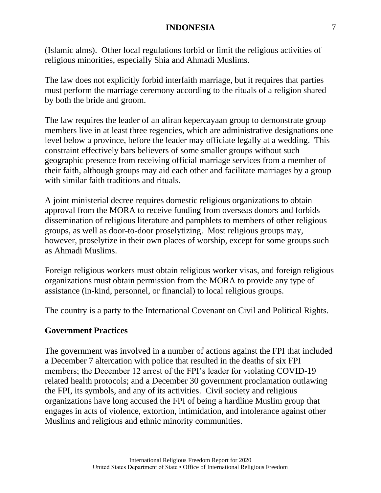(Islamic alms). Other local regulations forbid or limit the religious activities of religious minorities, especially Shia and Ahmadi Muslims.

The law does not explicitly forbid interfaith marriage, but it requires that parties must perform the marriage ceremony according to the rituals of a religion shared by both the bride and groom.

The law requires the leader of an aliran kepercayaan group to demonstrate group members live in at least three regencies, which are administrative designations one level below a province, before the leader may officiate legally at a wedding. This constraint effectively bars believers of some smaller groups without such geographic presence from receiving official marriage services from a member of their faith, although groups may aid each other and facilitate marriages by a group with similar faith traditions and rituals.

A joint ministerial decree requires domestic religious organizations to obtain approval from the MORA to receive funding from overseas donors and forbids dissemination of religious literature and pamphlets to members of other religious groups, as well as door-to-door proselytizing. Most religious groups may, however, proselytize in their own places of worship, except for some groups such as Ahmadi Muslims.

Foreign religious workers must obtain religious worker visas, and foreign religious organizations must obtain permission from the MORA to provide any type of assistance (in-kind, personnel, or financial) to local religious groups.

The country is a party to the International Covenant on Civil and Political Rights.

### **Government Practices**

The government was involved in a number of actions against the FPI that included a December 7 altercation with police that resulted in the deaths of six FPI members; the December 12 arrest of the FPI's leader for violating COVID-19 related health protocols; and a December 30 government proclamation outlawing the FPI, its symbols, and any of its activities. Civil society and religious organizations have long accused the FPI of being a hardline Muslim group that engages in acts of violence, extortion, intimidation, and intolerance against other Muslims and religious and ethnic minority communities.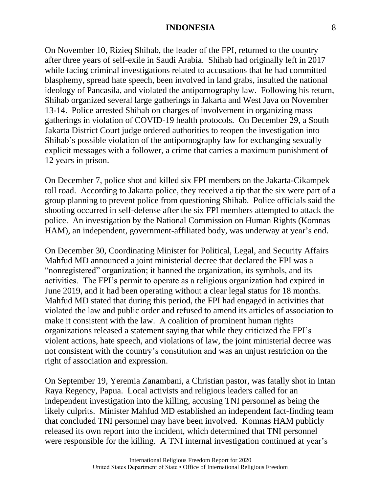On November 10, Rizieq Shihab, the leader of the FPI, returned to the country after three years of self-exile in Saudi Arabia. Shihab had originally left in 2017 while facing criminal investigations related to accusations that he had committed blasphemy, spread hate speech, been involved in land grabs, insulted the national ideology of Pancasila, and violated the antipornography law. Following his return, Shihab organized several large gatherings in Jakarta and West Java on November 13-14. Police arrested Shihab on charges of involvement in organizing mass gatherings in violation of COVID-19 health protocols. On December 29, a South Jakarta District Court judge ordered authorities to reopen the investigation into Shihab's possible violation of the antipornography law for exchanging sexually explicit messages with a follower, a crime that carries a maximum punishment of 12 years in prison.

On December 7, police shot and killed six FPI members on the Jakarta-Cikampek toll road. According to Jakarta police, they received a tip that the six were part of a group planning to prevent police from questioning Shihab. Police officials said the shooting occurred in self-defense after the six FPI members attempted to attack the police. An investigation by the National Commission on Human Rights (Komnas HAM), an independent, government-affiliated body, was underway at year's end.

On December 30, Coordinating Minister for Political, Legal, and Security Affairs Mahfud MD announced a joint ministerial decree that declared the FPI was a "nonregistered" organization; it banned the organization, its symbols, and its activities. The FPI's permit to operate as a religious organization had expired in June 2019, and it had been operating without a clear legal status for 18 months. Mahfud MD stated that during this period, the FPI had engaged in activities that violated the law and public order and refused to amend its articles of association to make it consistent with the law. A coalition of prominent human rights organizations released a statement saying that while they criticized the FPI's violent actions, hate speech, and violations of law, the joint ministerial decree was not consistent with the country's constitution and was an unjust restriction on the right of association and expression.

On September 19, Yeremia Zanambani, a Christian pastor, was fatally shot in Intan Raya Regency, Papua. Local activists and religious leaders called for an independent investigation into the killing, accusing TNI personnel as being the likely culprits. Minister Mahfud MD established an independent fact-finding team that concluded TNI personnel may have been involved. Komnas HAM publicly released its own report into the incident, which determined that TNI personnel were responsible for the killing. A TNI internal investigation continued at year's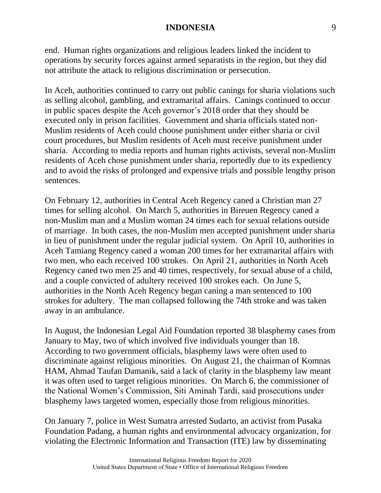end. Human rights organizations and religious leaders linked the incident to operations by security forces against armed separatists in the region, but they did not attribute the attack to religious discrimination or persecution.

In Aceh, authorities continued to carry out public canings for sharia violations such as selling alcohol, gambling, and extramarital affairs. Canings continued to occur in public spaces despite the Aceh governor's 2018 order that they should be executed only in prison facilities. Government and sharia officials stated non-Muslim residents of Aceh could choose punishment under either sharia or civil court procedures, but Muslim residents of Aceh must receive punishment under sharia. According to media reports and human rights activists, several non-Muslim residents of Aceh chose punishment under sharia, reportedly due to its expediency and to avoid the risks of prolonged and expensive trials and possible lengthy prison sentences.

On February 12, authorities in Central Aceh Regency caned a Christian man 27 times for selling alcohol. On March 5, authorities in Bireuen Regency caned a non-Muslim man and a Muslim woman 24 times each for sexual relations outside of marriage. In both cases, the non-Muslim men accepted punishment under sharia in lieu of punishment under the regular judicial system. On April 10, authorities in Aceh Tamiang Regency caned a woman 200 times for her extramarital affairs with two men, who each received 100 strokes. On April 21, authorities in North Aceh Regency caned two men 25 and 40 times, respectively, for sexual abuse of a child, and a couple convicted of adultery received 100 strokes each. On June 5, authorities in the North Aceh Regency began caning a man sentenced to 100 strokes for adultery. The man collapsed following the 74th stroke and was taken away in an ambulance.

In August, the Indonesian Legal Aid Foundation reported 38 blasphemy cases from January to May, two of which involved five individuals younger than 18. According to two government officials, blasphemy laws were often used to discriminate against religious minorities. On August 21, the chairman of Komnas HAM, Ahmad Taufan Damanik, said a lack of clarity in the blasphemy law meant it was often used to target religious minorities. On March 6, the commissioner of the National Women's Commission, Siti Aminah Tardi, said prosecutions under blasphemy laws targeted women, especially those from religious minorities.

On January 7, police in West Sumatra arrested Sudarto, an activist from Pusaka Foundation Padang, a human rights and environmental advocacy organization, for violating the Electronic Information and Transaction (ITE) law by disseminating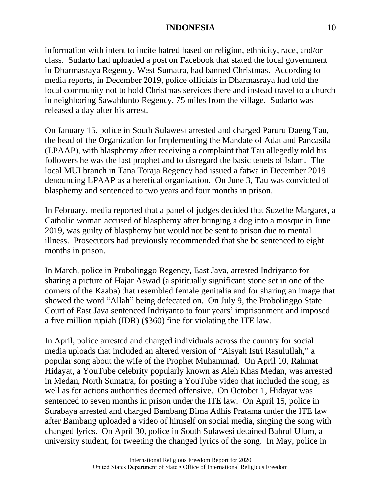information with intent to incite hatred based on religion, ethnicity, race, and/or class. Sudarto had uploaded a post on Facebook that stated the local government in Dharmasraya Regency, West Sumatra, had banned Christmas. According to media reports, in December 2019, police officials in Dharmasraya had told the local community not to hold Christmas services there and instead travel to a church in neighboring Sawahlunto Regency, 75 miles from the village. Sudarto was released a day after his arrest.

On January 15, police in South Sulawesi arrested and charged Paruru Daeng Tau, the head of the Organization for Implementing the Mandate of Adat and Pancasila (LPAAP), with blasphemy after receiving a complaint that Tau allegedly told his followers he was the last prophet and to disregard the basic tenets of Islam. The local MUI branch in Tana Toraja Regency had issued a fatwa in December 2019 denouncing LPAAP as a heretical organization. On June 3, Tau was convicted of blasphemy and sentenced to two years and four months in prison.

In February, media reported that a panel of judges decided that Suzethe Margaret, a Catholic woman accused of blasphemy after bringing a dog into a mosque in June 2019, was guilty of blasphemy but would not be sent to prison due to mental illness. Prosecutors had previously recommended that she be sentenced to eight months in prison.

In March, police in Probolinggo Regency, East Java, arrested Indriyanto for sharing a picture of Hajar Aswad (a spiritually significant stone set in one of the corners of the Kaaba) that resembled female genitalia and for sharing an image that showed the word "Allah" being defecated on. On July 9, the Probolinggo State Court of East Java sentenced Indriyanto to four years' imprisonment and imposed a five million rupiah (IDR) (\$360) fine for violating the ITE law.

In April, police arrested and charged individuals across the country for social media uploads that included an altered version of "Aisyah Istri Rasulullah," a popular song about the wife of the Prophet Muhammad. On April 10, Rahmat Hidayat, a YouTube celebrity popularly known as Aleh Khas Medan, was arrested in Medan, North Sumatra, for posting a YouTube video that included the song, as well as for actions authorities deemed offensive. On October 1, Hidayat was sentenced to seven months in prison under the ITE law. On April 15, police in Surabaya arrested and charged Bambang Bima Adhis Pratama under the ITE law after Bambang uploaded a video of himself on social media, singing the song with changed lyrics. On April 30, police in South Sulawesi detained Bahrul Ulum, a university student, for tweeting the changed lyrics of the song. In May, police in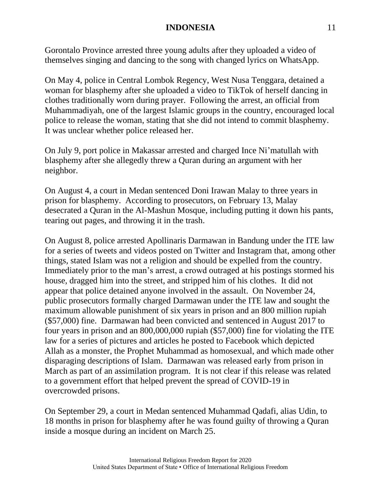Gorontalo Province arrested three young adults after they uploaded a video of themselves singing and dancing to the song with changed lyrics on WhatsApp.

On May 4, police in Central Lombok Regency, West Nusa Tenggara, detained a woman for blasphemy after she uploaded a video to TikTok of herself dancing in clothes traditionally worn during prayer. Following the arrest, an official from Muhammadiyah, one of the largest Islamic groups in the country, encouraged local police to release the woman, stating that she did not intend to commit blasphemy. It was unclear whether police released her.

On July 9, port police in Makassar arrested and charged Ince Ni'matullah with blasphemy after she allegedly threw a Quran during an argument with her neighbor.

On August 4, a court in Medan sentenced Doni Irawan Malay to three years in prison for blasphemy. According to prosecutors, on February 13, Malay desecrated a Quran in the Al-Mashun Mosque, including putting it down his pants, tearing out pages, and throwing it in the trash.

On August 8, police arrested Apollinaris Darmawan in Bandung under the ITE law for a series of tweets and videos posted on Twitter and Instagram that, among other things, stated Islam was not a religion and should be expelled from the country. Immediately prior to the man's arrest, a crowd outraged at his postings stormed his house, dragged him into the street, and stripped him of his clothes. It did not appear that police detained anyone involved in the assault. On November 24, public prosecutors formally charged Darmawan under the ITE law and sought the maximum allowable punishment of six years in prison and an 800 million rupiah (\$57,000) fine. Darmawan had been convicted and sentenced in August 2017 to four years in prison and an 800,000,000 rupiah (\$57,000) fine for violating the ITE law for a series of pictures and articles he posted to Facebook which depicted Allah as a monster, the Prophet Muhammad as homosexual, and which made other disparaging descriptions of Islam. Darmawan was released early from prison in March as part of an assimilation program. It is not clear if this release was related to a government effort that helped prevent the spread of COVID-19 in overcrowded prisons.

On September 29, a court in Medan sentenced Muhammad Qadafi, alias Udin, to 18 months in prison for blasphemy after he was found guilty of throwing a Quran inside a mosque during an incident on March 25.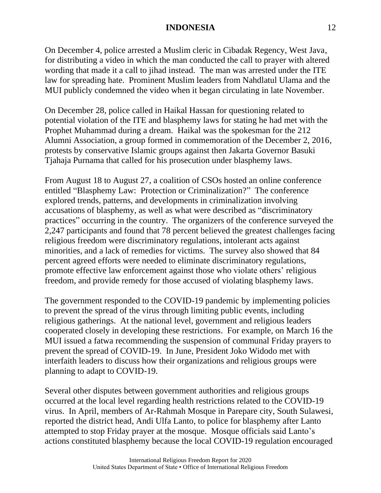On December 4, police arrested a Muslim cleric in Cibadak Regency, West Java, for distributing a video in which the man conducted the call to prayer with altered wording that made it a call to jihad instead. The man was arrested under the ITE law for spreading hate. Prominent Muslim leaders from Nahdlatul Ulama and the MUI publicly condemned the video when it began circulating in late November.

On December 28, police called in Haikal Hassan for questioning related to potential violation of the ITE and blasphemy laws for stating he had met with the Prophet Muhammad during a dream. Haikal was the spokesman for the 212 Alumni Association, a group formed in commemoration of the December 2, 2016, protests by conservative Islamic groups against then Jakarta Governor Basuki Tjahaja Purnama that called for his prosecution under blasphemy laws.

From August 18 to August 27, a coalition of CSOs hosted an online conference entitled "Blasphemy Law: Protection or Criminalization?" The conference explored trends, patterns, and developments in criminalization involving accusations of blasphemy, as well as what were described as "discriminatory practices" occurring in the country. The organizers of the conference surveyed the 2,247 participants and found that 78 percent believed the greatest challenges facing religious freedom were discriminatory regulations, intolerant acts against minorities, and a lack of remedies for victims. The survey also showed that 84 percent agreed efforts were needed to eliminate discriminatory regulations, promote effective law enforcement against those who violate others' religious freedom, and provide remedy for those accused of violating blasphemy laws.

The government responded to the COVID-19 pandemic by implementing policies to prevent the spread of the virus through limiting public events, including religious gatherings. At the national level, government and religious leaders cooperated closely in developing these restrictions. For example, on March 16 the MUI issued a fatwa recommending the suspension of communal Friday prayers to prevent the spread of COVID-19. In June, President Joko Widodo met with interfaith leaders to discuss how their organizations and religious groups were planning to adapt to COVID-19.

Several other disputes between government authorities and religious groups occurred at the local level regarding health restrictions related to the COVID-19 virus. In April, members of Ar-Rahmah Mosque in Parepare city, South Sulawesi, reported the district head, Andi Ulfa Lanto, to police for blasphemy after Lanto attempted to stop Friday prayer at the mosque. Mosque officials said Lanto's actions constituted blasphemy because the local COVID-19 regulation encouraged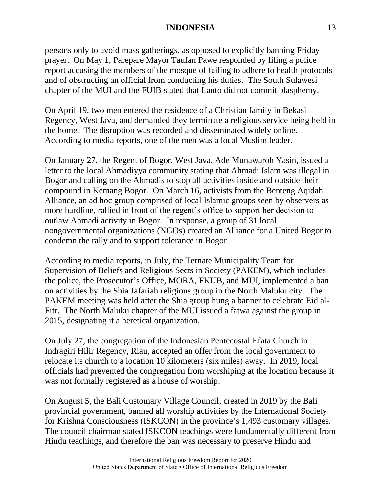persons only to avoid mass gatherings, as opposed to explicitly banning Friday prayer. On May 1, Parepare Mayor Taufan Pawe responded by filing a police report accusing the members of the mosque of failing to adhere to health protocols and of obstructing an official from conducting his duties. The South Sulawesi chapter of the MUI and the FUIB stated that Lanto did not commit blasphemy.

On April 19, two men entered the residence of a Christian family in Bekasi Regency, West Java, and demanded they terminate a religious service being held in the home. The disruption was recorded and disseminated widely online. According to media reports, one of the men was a local Muslim leader.

On January 27, the Regent of Bogor, West Java, Ade Munawaroh Yasin, issued a letter to the local Ahmadiyya community stating that Ahmadi Islam was illegal in Bogor and calling on the Ahmadis to stop all activities inside and outside their compound in Kemang Bogor. On March 16, activists from the Benteng Aqidah Alliance, an ad hoc group comprised of local Islamic groups seen by observers as more hardline, rallied in front of the regent's office to support her decision to outlaw Ahmadi activity in Bogor. In response, a group of 31 local nongovernmental organizations (NGOs) created an Alliance for a United Bogor to condemn the rally and to support tolerance in Bogor.

According to media reports, in July, the Ternate Municipality Team for Supervision of Beliefs and Religious Sects in Society (PAKEM), which includes the police, the Prosecutor's Office, MORA, FKUB, and MUI, implemented a ban on activities by the Shia Jafariah religious group in the North Maluku city. The PAKEM meeting was held after the Shia group hung a banner to celebrate Eid al-Fitr. The North Maluku chapter of the MUI issued a fatwa against the group in 2015, designating it a heretical organization.

On July 27, the congregation of the Indonesian Pentecostal Efata Church in Indragiri Hilir Regency, Riau, accepted an offer from the local government to relocate its church to a location 10 kilometers (six miles) away. In 2019, local officials had prevented the congregation from worshiping at the location because it was not formally registered as a house of worship.

On August 5, the Bali Customary Village Council, created in 2019 by the Bali provincial government, banned all worship activities by the International Society for Krishna Consciousness (ISKCON) in the province's 1,493 customary villages. The council chairman stated ISKCON teachings were fundamentally different from Hindu teachings, and therefore the ban was necessary to preserve Hindu and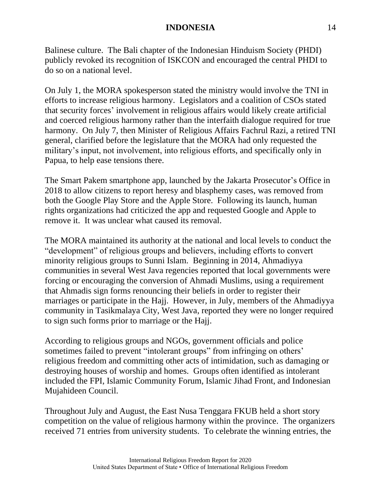Balinese culture. The Bali chapter of the Indonesian Hinduism Society (PHDI) publicly revoked its recognition of ISKCON and encouraged the central PHDI to do so on a national level.

On July 1, the MORA spokesperson stated the ministry would involve the TNI in efforts to increase religious harmony. Legislators and a coalition of CSOs stated that security forces' involvement in religious affairs would likely create artificial and coerced religious harmony rather than the interfaith dialogue required for true harmony. On July 7, then Minister of Religious Affairs Fachrul Razi, a retired TNI general, clarified before the legislature that the MORA had only requested the military's input, not involvement, into religious efforts, and specifically only in Papua, to help ease tensions there.

The Smart Pakem smartphone app, launched by the Jakarta Prosecutor's Office in 2018 to allow citizens to report heresy and blasphemy cases, was removed from both the Google Play Store and the Apple Store. Following its launch, human rights organizations had criticized the app and requested Google and Apple to remove it. It was unclear what caused its removal.

The MORA maintained its authority at the national and local levels to conduct the "development" of religious groups and believers, including efforts to convert minority religious groups to Sunni Islam. Beginning in 2014, Ahmadiyya communities in several West Java regencies reported that local governments were forcing or encouraging the conversion of Ahmadi Muslims, using a requirement that Ahmadis sign forms renouncing their beliefs in order to register their marriages or participate in the Hajj. However, in July, members of the Ahmadiyya community in Tasikmalaya City, West Java, reported they were no longer required to sign such forms prior to marriage or the Hajj.

According to religious groups and NGOs, government officials and police sometimes failed to prevent "intolerant groups" from infringing on others' religious freedom and committing other acts of intimidation, such as damaging or destroying houses of worship and homes. Groups often identified as intolerant included the FPI, Islamic Community Forum, Islamic Jihad Front, and Indonesian Mujahideen Council.

Throughout July and August, the East Nusa Tenggara FKUB held a short story competition on the value of religious harmony within the province. The organizers received 71 entries from university students. To celebrate the winning entries, the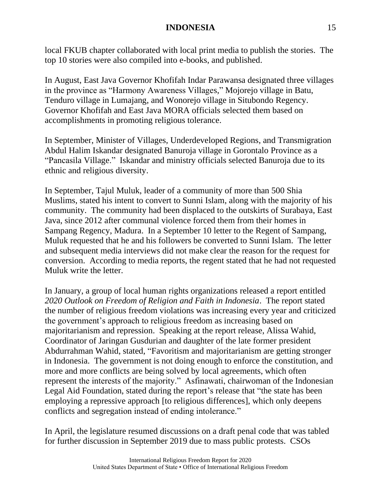local FKUB chapter collaborated with local print media to publish the stories. The top 10 stories were also compiled into e-books, and published.

In August, East Java Governor Khofifah Indar Parawansa designated three villages in the province as "Harmony Awareness Villages," Mojorejo village in Batu, Tenduro village in Lumajang, and Wonorejo village in Situbondo Regency. Governor Khofifah and East Java MORA officials selected them based on accomplishments in promoting religious tolerance.

In September, Minister of Villages, Underdeveloped Regions, and Transmigration Abdul Halim Iskandar designated Banuroja village in Gorontalo Province as a "Pancasila Village." Iskandar and ministry officials selected Banuroja due to its ethnic and religious diversity.

In September, Tajul Muluk, leader of a community of more than 500 Shia Muslims, stated his intent to convert to Sunni Islam, along with the majority of his community. The community had been displaced to the outskirts of Surabaya, East Java, since 2012 after communal violence forced them from their homes in Sampang Regency, Madura. In a September 10 letter to the Regent of Sampang, Muluk requested that he and his followers be converted to Sunni Islam. The letter and subsequent media interviews did not make clear the reason for the request for conversion. According to media reports, the regent stated that he had not requested Muluk write the letter.

In January, a group of local human rights organizations released a report entitled *2020 Outlook on Freedom of Religion and Faith in Indonesia*. The report stated the number of religious freedom violations was increasing every year and criticized the government's approach to religious freedom as increasing based on majoritarianism and repression. Speaking at the report release, Alissa Wahid, Coordinator of Jaringan Gusdurian and daughter of the late former president Abdurrahman Wahid, stated, "Favoritism and majoritarianism are getting stronger in Indonesia. The government is not doing enough to enforce the constitution, and more and more conflicts are being solved by local agreements, which often represent the interests of the majority." Asfinawati, chairwoman of the Indonesian Legal Aid Foundation, stated during the report's release that "the state has been employing a repressive approach [to religious differences], which only deepens conflicts and segregation instead of ending intolerance."

In April, the legislature resumed discussions on a draft penal code that was tabled for further discussion in September 2019 due to mass public protests. CSOs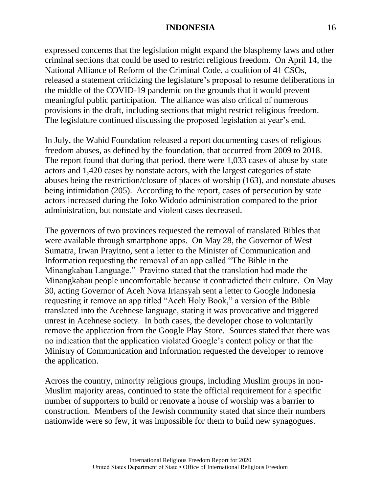expressed concerns that the legislation might expand the blasphemy laws and other criminal sections that could be used to restrict religious freedom. On April 14, the National Alliance of Reform of the Criminal Code, a coalition of 41 CSOs, released a statement criticizing the legislature's proposal to resume deliberations in the middle of the COVID-19 pandemic on the grounds that it would prevent meaningful public participation. The alliance was also critical of numerous provisions in the draft, including sections that might restrict religious freedom. The legislature continued discussing the proposed legislation at year's end.

In July, the Wahid Foundation released a report documenting cases of religious freedom abuses, as defined by the foundation, that occurred from 2009 to 2018. The report found that during that period, there were 1,033 cases of abuse by state actors and 1,420 cases by nonstate actors, with the largest categories of state abuses being the restriction/closure of places of worship (163), and nonstate abuses being intimidation (205). According to the report, cases of persecution by state actors increased during the Joko Widodo administration compared to the prior administration, but nonstate and violent cases decreased.

The governors of two provinces requested the removal of translated Bibles that were available through smartphone apps. On May 28, the Governor of West Sumatra, Irwan Prayitno, sent a letter to the Minister of Communication and Information requesting the removal of an app called "The Bible in the Minangkabau Language." Pravitno stated that the translation had made the Minangkabau people uncomfortable because it contradicted their culture. On May 30, acting Governor of Aceh Nova Iriansyah sent a letter to Google Indonesia requesting it remove an app titled "Aceh Holy Book," a version of the Bible translated into the Acehnese language, stating it was provocative and triggered unrest in Acehnese society. In both cases, the developer chose to voluntarily remove the application from the Google Play Store. Sources stated that there was no indication that the application violated Google's content policy or that the Ministry of Communication and Information requested the developer to remove the application.

Across the country, minority religious groups, including Muslim groups in non-Muslim majority areas, continued to state the official requirement for a specific number of supporters to build or renovate a house of worship was a barrier to construction. Members of the Jewish community stated that since their numbers nationwide were so few, it was impossible for them to build new synagogues.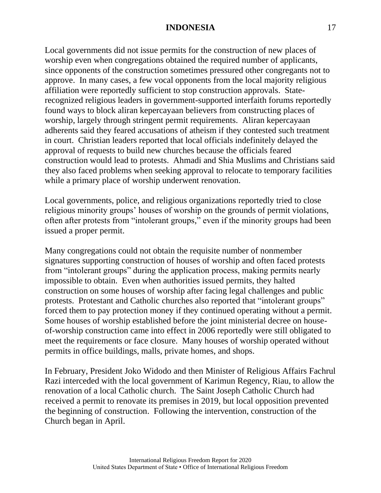Local governments did not issue permits for the construction of new places of worship even when congregations obtained the required number of applicants, since opponents of the construction sometimes pressured other congregants not to approve. In many cases, a few vocal opponents from the local majority religious affiliation were reportedly sufficient to stop construction approvals. Staterecognized religious leaders in government-supported interfaith forums reportedly found ways to block aliran kepercayaan believers from constructing places of worship, largely through stringent permit requirements. Aliran kepercayaan adherents said they feared accusations of atheism if they contested such treatment in court. Christian leaders reported that local officials indefinitely delayed the approval of requests to build new churches because the officials feared construction would lead to protests. Ahmadi and Shia Muslims and Christians said they also faced problems when seeking approval to relocate to temporary facilities while a primary place of worship underwent renovation.

Local governments, police, and religious organizations reportedly tried to close religious minority groups' houses of worship on the grounds of permit violations, often after protests from "intolerant groups," even if the minority groups had been issued a proper permit.

Many congregations could not obtain the requisite number of nonmember signatures supporting construction of houses of worship and often faced protests from "intolerant groups" during the application process, making permits nearly impossible to obtain. Even when authorities issued permits, they halted construction on some houses of worship after facing legal challenges and public protests. Protestant and Catholic churches also reported that "intolerant groups" forced them to pay protection money if they continued operating without a permit. Some houses of worship established before the joint ministerial decree on houseof-worship construction came into effect in 2006 reportedly were still obligated to meet the requirements or face closure. Many houses of worship operated without permits in office buildings, malls, private homes, and shops.

In February, President Joko Widodo and then Minister of Religious Affairs Fachrul Razi interceded with the local government of Karimun Regency, Riau, to allow the renovation of a local Catholic church. The Saint Joseph Catholic Church had received a permit to renovate its premises in 2019, but local opposition prevented the beginning of construction. Following the intervention, construction of the Church began in April.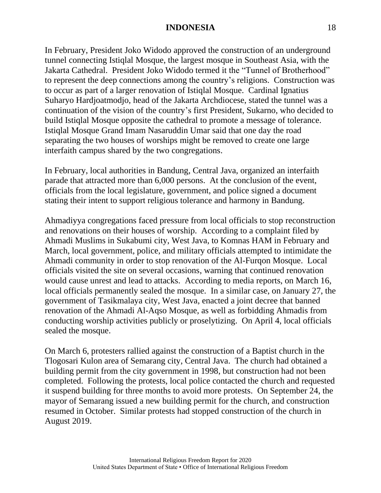In February, President Joko Widodo approved the construction of an underground tunnel connecting Istiqlal Mosque, the largest mosque in Southeast Asia, with the Jakarta Cathedral. President Joko Widodo termed it the "Tunnel of Brotherhood" to represent the deep connections among the country's religions. Construction was to occur as part of a larger renovation of Istiqlal Mosque. Cardinal Ignatius Suharyo Hardjoatmodjo, head of the Jakarta Archdiocese, stated the tunnel was a continuation of the vision of the country's first President, Sukarno, who decided to build Istiqlal Mosque opposite the cathedral to promote a message of tolerance. Istiqlal Mosque Grand Imam Nasaruddin Umar said that one day the road separating the two houses of worships might be removed to create one large interfaith campus shared by the two congregations.

In February, local authorities in Bandung, Central Java, organized an interfaith parade that attracted more than 6,000 persons. At the conclusion of the event, officials from the local legislature, government, and police signed a document stating their intent to support religious tolerance and harmony in Bandung.

Ahmadiyya congregations faced pressure from local officials to stop reconstruction and renovations on their houses of worship. According to a complaint filed by Ahmadi Muslims in Sukabumi city, West Java, to Komnas HAM in February and March, local government, police, and military officials attempted to intimidate the Ahmadi community in order to stop renovation of the Al-Furqon Mosque. Local officials visited the site on several occasions, warning that continued renovation would cause unrest and lead to attacks. According to media reports, on March 16, local officials permanently sealed the mosque. In a similar case, on January 27, the government of Tasikmalaya city, West Java, enacted a joint decree that banned renovation of the Ahmadi Al-Aqso Mosque, as well as forbidding Ahmadis from conducting worship activities publicly or proselytizing. On April 4, local officials sealed the mosque.

On March 6, protesters rallied against the construction of a Baptist church in the Tlogosari Kulon area of Semarang city, Central Java. The church had obtained a building permit from the city government in 1998, but construction had not been completed. Following the protests, local police contacted the church and requested it suspend building for three months to avoid more protests. On September 24, the mayor of Semarang issued a new building permit for the church, and construction resumed in October. Similar protests had stopped construction of the church in August 2019.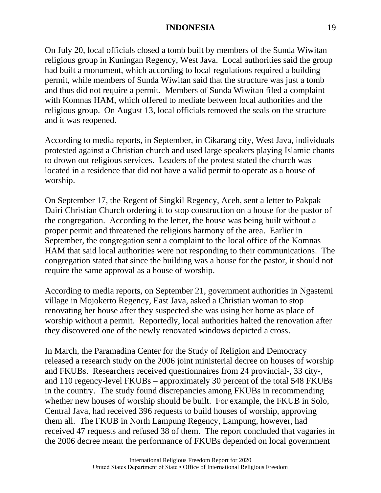On July 20, local officials closed a tomb built by members of the Sunda Wiwitan religious group in Kuningan Regency, West Java. Local authorities said the group had built a monument, which according to local regulations required a building permit, while members of Sunda Wiwitan said that the structure was just a tomb and thus did not require a permit. Members of Sunda Wiwitan filed a complaint with Komnas HAM, which offered to mediate between local authorities and the religious group. On August 13, local officials removed the seals on the structure and it was reopened.

According to media reports, in September, in Cikarang city, West Java, individuals protested against a Christian church and used large speakers playing Islamic chants to drown out religious services. Leaders of the protest stated the church was located in a residence that did not have a valid permit to operate as a house of worship.

On September 17, the Regent of Singkil Regency, Aceh, sent a letter to Pakpak Dairi Christian Church ordering it to stop construction on a house for the pastor of the congregation. According to the letter, the house was being built without a proper permit and threatened the religious harmony of the area. Earlier in September, the congregation sent a complaint to the local office of the Komnas HAM that said local authorities were not responding to their communications. The congregation stated that since the building was a house for the pastor, it should not require the same approval as a house of worship.

According to media reports, on September 21, government authorities in Ngastemi village in Mojokerto Regency, East Java, asked a Christian woman to stop renovating her house after they suspected she was using her home as place of worship without a permit. Reportedly, local authorities halted the renovation after they discovered one of the newly renovated windows depicted a cross.

In March, the Paramadina Center for the Study of Religion and Democracy released a research study on the 2006 joint ministerial decree on houses of worship and FKUBs. Researchers received questionnaires from 24 provincial-, 33 city-, and 110 regency-level FKUBs – approximately 30 percent of the total 548 FKUBs in the country. The study found discrepancies among FKUBs in recommending whether new houses of worship should be built. For example, the FKUB in Solo, Central Java, had received 396 requests to build houses of worship, approving them all. The FKUB in North Lampung Regency, Lampung, however, had received 47 requests and refused 38 of them. The report concluded that vagaries in the 2006 decree meant the performance of FKUBs depended on local government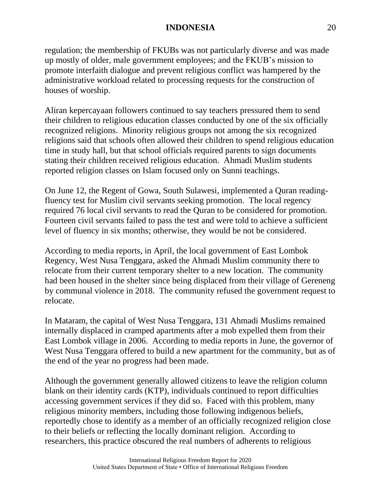regulation; the membership of FKUBs was not particularly diverse and was made up mostly of older, male government employees; and the FKUB's mission to promote interfaith dialogue and prevent religious conflict was hampered by the administrative workload related to processing requests for the construction of houses of worship.

Aliran kepercayaan followers continued to say teachers pressured them to send their children to religious education classes conducted by one of the six officially recognized religions. Minority religious groups not among the six recognized religions said that schools often allowed their children to spend religious education time in study hall, but that school officials required parents to sign documents stating their children received religious education. Ahmadi Muslim students reported religion classes on Islam focused only on Sunni teachings.

On June 12, the Regent of Gowa, South Sulawesi, implemented a Quran readingfluency test for Muslim civil servants seeking promotion. The local regency required 76 local civil servants to read the Quran to be considered for promotion. Fourteen civil servants failed to pass the test and were told to achieve a sufficient level of fluency in six months; otherwise, they would be not be considered.

According to media reports, in April, the local government of East Lombok Regency, West Nusa Tenggara, asked the Ahmadi Muslim community there to relocate from their current temporary shelter to a new location. The community had been housed in the shelter since being displaced from their village of Gereneng by communal violence in 2018. The community refused the government request to relocate.

In Mataram, the capital of West Nusa Tenggara, 131 Ahmadi Muslims remained internally displaced in cramped apartments after a mob expelled them from their East Lombok village in 2006. According to media reports in June, the governor of West Nusa Tenggara offered to build a new apartment for the community, but as of the end of the year no progress had been made.

Although the government generally allowed citizens to leave the religion column blank on their identity cards (KTP), individuals continued to report difficulties accessing government services if they did so. Faced with this problem, many religious minority members, including those following indigenous beliefs, reportedly chose to identify as a member of an officially recognized religion close to their beliefs or reflecting the locally dominant religion. According to researchers, this practice obscured the real numbers of adherents to religious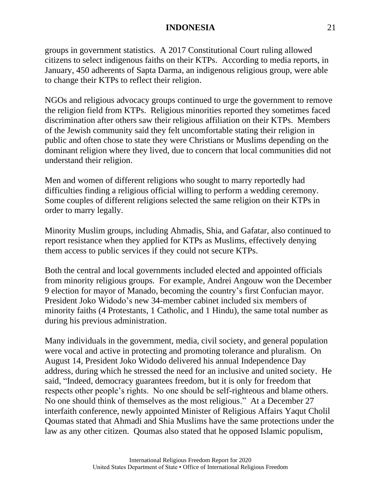groups in government statistics. A 2017 Constitutional Court ruling allowed citizens to select indigenous faiths on their KTPs. According to media reports, in January, 450 adherents of Sapta Darma, an indigenous religious group, were able to change their KTPs to reflect their religion.

NGOs and religious advocacy groups continued to urge the government to remove the religion field from KTPs. Religious minorities reported they sometimes faced discrimination after others saw their religious affiliation on their KTPs. Members of the Jewish community said they felt uncomfortable stating their religion in public and often chose to state they were Christians or Muslims depending on the dominant religion where they lived, due to concern that local communities did not understand their religion.

Men and women of different religions who sought to marry reportedly had difficulties finding a religious official willing to perform a wedding ceremony. Some couples of different religions selected the same religion on their KTPs in order to marry legally.

Minority Muslim groups, including Ahmadis, Shia, and Gafatar, also continued to report resistance when they applied for KTPs as Muslims, effectively denying them access to public services if they could not secure KTPs.

Both the central and local governments included elected and appointed officials from minority religious groups. For example, Andrei Angouw won the December 9 election for mayor of Manado, becoming the country's first Confucian mayor. President Joko Widodo's new 34-member cabinet included six members of minority faiths (4 Protestants, 1 Catholic, and 1 Hindu), the same total number as during his previous administration.

Many individuals in the government, media, civil society, and general population were vocal and active in protecting and promoting tolerance and pluralism. On August 14, President Joko Widodo delivered his annual Independence Day address, during which he stressed the need for an inclusive and united society. He said, "Indeed, democracy guarantees freedom, but it is only for freedom that respects other people's rights. No one should be self-righteous and blame others. No one should think of themselves as the most religious." At a December 27 interfaith conference, newly appointed Minister of Religious Affairs Yaqut Cholil Qoumas stated that Ahmadi and Shia Muslims have the same protections under the law as any other citizen. Qoumas also stated that he opposed Islamic populism,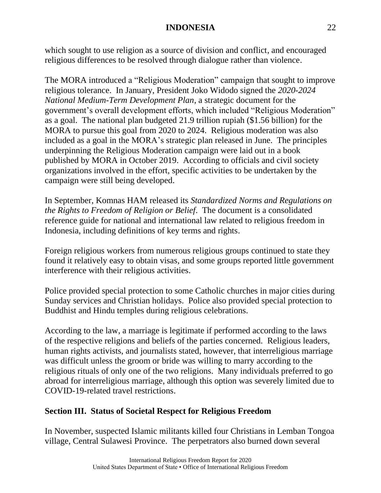which sought to use religion as a source of division and conflict, and encouraged religious differences to be resolved through dialogue rather than violence.

The MORA introduced a "Religious Moderation" campaign that sought to improve religious tolerance. In January, President Joko Widodo signed the *2020-2024 National Medium-Term Development Plan*, a strategic document for the government's overall development efforts, which included "Religious Moderation" as a goal. The national plan budgeted 21.9 trillion rupiah (\$1.56 billion) for the MORA to pursue this goal from 2020 to 2024. Religious moderation was also included as a goal in the MORA's strategic plan released in June. The principles underpinning the Religious Moderation campaign were laid out in a book published by MORA in October 2019. According to officials and civil society organizations involved in the effort, specific activities to be undertaken by the campaign were still being developed.

In September, Komnas HAM released its *Standardized Norms and Regulations on the Rights to Freedom of Religion or Belief*. The document is a consolidated reference guide for national and international law related to religious freedom in Indonesia, including definitions of key terms and rights.

Foreign religious workers from numerous religious groups continued to state they found it relatively easy to obtain visas, and some groups reported little government interference with their religious activities.

Police provided special protection to some Catholic churches in major cities during Sunday services and Christian holidays. Police also provided special protection to Buddhist and Hindu temples during religious celebrations.

According to the law, a marriage is legitimate if performed according to the laws of the respective religions and beliefs of the parties concerned. Religious leaders, human rights activists, and journalists stated, however, that interreligious marriage was difficult unless the groom or bride was willing to marry according to the religious rituals of only one of the two religions. Many individuals preferred to go abroad for interreligious marriage, although this option was severely limited due to COVID-19-related travel restrictions.

# **Section III. Status of Societal Respect for Religious Freedom**

In November, suspected Islamic militants killed four Christians in Lemban Tongoa village, Central Sulawesi Province. The perpetrators also burned down several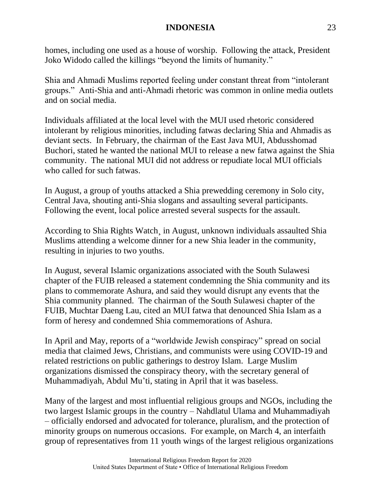homes, including one used as a house of worship. Following the attack, President Joko Widodo called the killings "beyond the limits of humanity."

Shia and Ahmadi Muslims reported feeling under constant threat from "intolerant groups." Anti-Shia and anti-Ahmadi rhetoric was common in online media outlets and on social media.

Individuals affiliated at the local level with the MUI used rhetoric considered intolerant by religious minorities, including fatwas declaring Shia and Ahmadis as deviant sects. In February, the chairman of the East Java MUI, Abdusshomad Buchori, stated he wanted the national MUI to release a new fatwa against the Shia community. The national MUI did not address or repudiate local MUI officials who called for such fatwas.

In August, a group of youths attacked a Shia prewedding ceremony in Solo city, Central Java, shouting anti-Shia slogans and assaulting several participants. Following the event, local police arrested several suspects for the assault.

According to Shia Rights Watch¸ in August, unknown individuals assaulted Shia Muslims attending a welcome dinner for a new Shia leader in the community, resulting in injuries to two youths.

In August, several Islamic organizations associated with the South Sulawesi chapter of the FUIB released a statement condemning the Shia community and its plans to commemorate Ashura, and said they would disrupt any events that the Shia community planned. The chairman of the South Sulawesi chapter of the FUIB, Muchtar Daeng Lau, cited an MUI fatwa that denounced Shia Islam as a form of heresy and condemned Shia commemorations of Ashura.

In April and May, reports of a "worldwide Jewish conspiracy" spread on social media that claimed Jews, Christians, and communists were using COVID-19 and related restrictions on public gatherings to destroy Islam. Large Muslim organizations dismissed the conspiracy theory, with the secretary general of Muhammadiyah, Abdul Mu'ti, stating in April that it was baseless.

Many of the largest and most influential religious groups and NGOs, including the two largest Islamic groups in the country – Nahdlatul Ulama and Muhammadiyah – officially endorsed and advocated for tolerance, pluralism, and the protection of minority groups on numerous occasions. For example, on March 4, an interfaith group of representatives from 11 youth wings of the largest religious organizations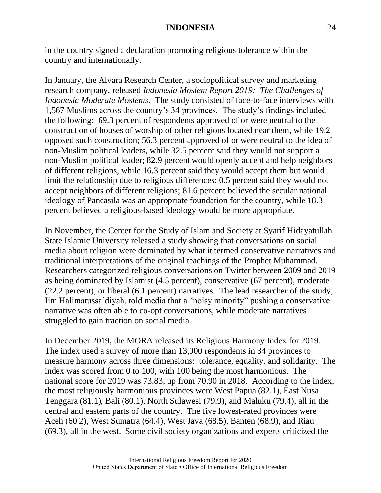in the country signed a declaration promoting religious tolerance within the country and internationally.

In January, the Alvara Research Center, a sociopolitical survey and marketing research company, released *Indonesia Moslem Report 2019: The Challenges of Indonesia Moderate Moslems*. The study consisted of face-to-face interviews with 1,567 Muslims across the country's 34 provinces. The study's findings included the following: 69.3 percent of respondents approved of or were neutral to the construction of houses of worship of other religions located near them, while 19.2 opposed such construction; 56.3 percent approved of or were neutral to the idea of non-Muslim political leaders, while 32.5 percent said they would not support a non-Muslim political leader; 82.9 percent would openly accept and help neighbors of different religions, while 16.3 percent said they would accept them but would limit the relationship due to religious differences; 0.5 percent said they would not accept neighbors of different religions; 81.6 percent believed the secular national ideology of Pancasila was an appropriate foundation for the country, while 18.3 percent believed a religious-based ideology would be more appropriate.

In November, the Center for the Study of Islam and Society at Syarif Hidayatullah State Islamic University released a study showing that conversations on social media about religion were dominated by what it termed conservative narratives and traditional interpretations of the original teachings of the Prophet Muhammad. Researchers categorized religious conversations on Twitter between 2009 and 2019 as being dominated by Islamist (4.5 percent), conservative (67 percent), moderate (22.2 percent), or liberal (6.1 percent) narratives. The lead researcher of the study, Iim Halimatussa'diyah, told media that a "noisy minority" pushing a conservative narrative was often able to co-opt conversations, while moderate narratives struggled to gain traction on social media.

In December 2019, the MORA released its Religious Harmony Index for 2019. The index used a survey of more than 13,000 respondents in 34 provinces to measure harmony across three dimensions: tolerance, equality, and solidarity. The index was scored from 0 to 100, with 100 being the most harmonious. The national score for 2019 was 73.83, up from 70.90 in 2018. According to the index, the most religiously harmonious provinces were West Papua (82.1), East Nusa Tenggara (81.1), Bali (80.1), North Sulawesi (79.9), and Maluku (79.4), all in the central and eastern parts of the country. The five lowest-rated provinces were Aceh (60.2), West Sumatra (64.4), West Java (68.5), Banten (68.9), and Riau (69.3), all in the west. Some civil society organizations and experts criticized the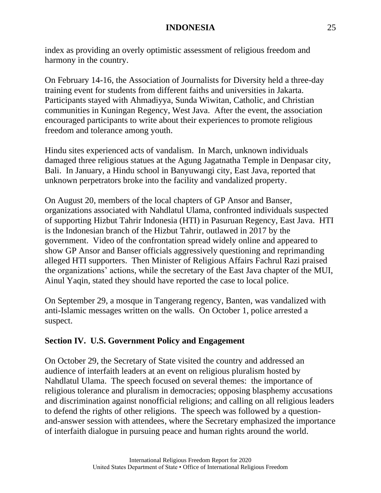index as providing an overly optimistic assessment of religious freedom and harmony in the country.

On February 14-16, the Association of Journalists for Diversity held a three-day training event for students from different faiths and universities in Jakarta. Participants stayed with Ahmadiyya, Sunda Wiwitan, Catholic, and Christian communities in Kuningan Regency, West Java. After the event, the association encouraged participants to write about their experiences to promote religious freedom and tolerance among youth.

Hindu sites experienced acts of vandalism. In March, unknown individuals damaged three religious statues at the Agung Jagatnatha Temple in Denpasar city, Bali. In January, a Hindu school in Banyuwangi city, East Java, reported that unknown perpetrators broke into the facility and vandalized property.

On August 20, members of the local chapters of GP Ansor and Banser, organizations associated with Nahdlatul Ulama, confronted individuals suspected of supporting Hizbut Tahrir Indonesia (HTI) in Pasuruan Regency, East Java. HTI is the Indonesian branch of the Hizbut Tahrir, outlawed in 2017 by the government. Video of the confrontation spread widely online and appeared to show GP Ansor and Banser officials aggressively questioning and reprimanding alleged HTI supporters. Then Minister of Religious Affairs Fachrul Razi praised the organizations' actions, while the secretary of the East Java chapter of the MUI, Ainul Yaqin, stated they should have reported the case to local police.

On September 29, a mosque in Tangerang regency, Banten, was vandalized with anti-Islamic messages written on the walls. On October 1, police arrested a suspect.

# **Section IV. U.S. Government Policy and Engagement**

On October 29, the Secretary of State visited the country and addressed an audience of interfaith leaders at an event on religious pluralism hosted by Nahdlatul Ulama. The speech focused on several themes: the importance of religious tolerance and pluralism in democracies; opposing blasphemy accusations and discrimination against nonofficial religions; and calling on all religious leaders to defend the rights of other religions. The speech was followed by a questionand-answer session with attendees, where the Secretary emphasized the importance of interfaith dialogue in pursuing peace and human rights around the world.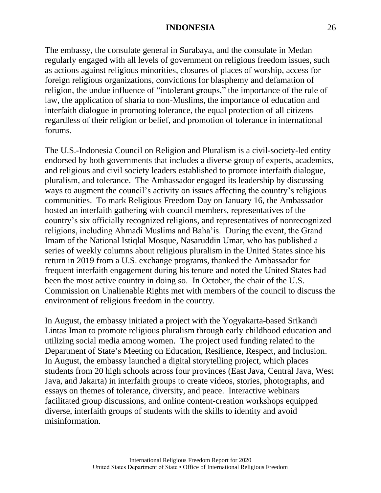The embassy, the consulate general in Surabaya, and the consulate in Medan regularly engaged with all levels of government on religious freedom issues, such as actions against religious minorities, closures of places of worship, access for foreign religious organizations, convictions for blasphemy and defamation of religion, the undue influence of "intolerant groups," the importance of the rule of law, the application of sharia to non-Muslims, the importance of education and interfaith dialogue in promoting tolerance, the equal protection of all citizens regardless of their religion or belief, and promotion of tolerance in international forums.

The U.S.-Indonesia Council on Religion and Pluralism is a civil-society-led entity endorsed by both governments that includes a diverse group of experts, academics, and religious and civil society leaders established to promote interfaith dialogue, pluralism, and tolerance. The Ambassador engaged its leadership by discussing ways to augment the council's activity on issues affecting the country's religious communities. To mark Religious Freedom Day on January 16, the Ambassador hosted an interfaith gathering with council members, representatives of the country's six officially recognized religions, and representatives of nonrecognized religions, including Ahmadi Muslims and Baha'is. During the event, the Grand Imam of the National Istiqlal Mosque, Nasaruddin Umar, who has published a series of weekly columns about religious pluralism in the United States since his return in 2019 from a U.S. exchange programs, thanked the Ambassador for frequent interfaith engagement during his tenure and noted the United States had been the most active country in doing so. In October, the chair of the U.S. Commission on Unalienable Rights met with members of the council to discuss the environment of religious freedom in the country.

In August, the embassy initiated a project with the Yogyakarta-based Srikandi Lintas Iman to promote religious pluralism through early childhood education and utilizing social media among women. The project used funding related to the Department of State's Meeting on Education, Resilience, Respect, and Inclusion. In August, the embassy launched a digital storytelling project, which places students from 20 high schools across four provinces (East Java, Central Java, West Java, and Jakarta) in interfaith groups to create videos, stories, photographs, and essays on themes of tolerance, diversity, and peace. Interactive webinars facilitated group discussions, and online content-creation workshops equipped diverse, interfaith groups of students with the skills to identity and avoid misinformation.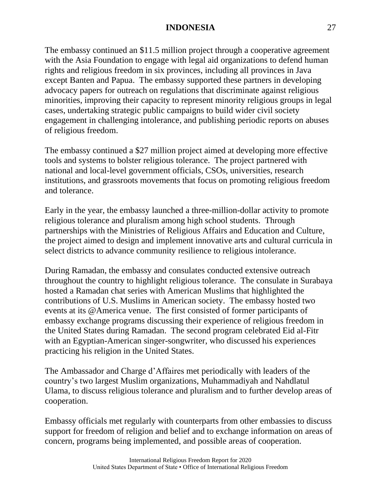The embassy continued an \$11.5 million project through a cooperative agreement with the Asia Foundation to engage with legal aid organizations to defend human rights and religious freedom in six provinces, including all provinces in Java except Banten and Papua. The embassy supported these partners in developing advocacy papers for outreach on regulations that discriminate against religious minorities, improving their capacity to represent minority religious groups in legal cases, undertaking strategic public campaigns to build wider civil society engagement in challenging intolerance, and publishing periodic reports on abuses of religious freedom.

The embassy continued a \$27 million project aimed at developing more effective tools and systems to bolster religious tolerance. The project partnered with national and local-level government officials, CSOs, universities, research institutions, and grassroots movements that focus on promoting religious freedom and tolerance.

Early in the year, the embassy launched a three-million-dollar activity to promote religious tolerance and pluralism among high school students. Through partnerships with the Ministries of Religious Affairs and Education and Culture, the project aimed to design and implement innovative arts and cultural curricula in select districts to advance community resilience to religious intolerance.

During Ramadan, the embassy and consulates conducted extensive outreach throughout the country to highlight religious tolerance. The consulate in Surabaya hosted a Ramadan chat series with American Muslims that highlighted the contributions of U.S. Muslims in American society. The embassy hosted two events at its @America venue. The first consisted of former participants of embassy exchange programs discussing their experience of religious freedom in the United States during Ramadan. The second program celebrated Eid al-Fitr with an Egyptian-American singer-songwriter, who discussed his experiences practicing his religion in the United States.

The Ambassador and Charge d'Affaires met periodically with leaders of the country's two largest Muslim organizations, Muhammadiyah and Nahdlatul Ulama, to discuss religious tolerance and pluralism and to further develop areas of cooperation.

Embassy officials met regularly with counterparts from other embassies to discuss support for freedom of religion and belief and to exchange information on areas of concern, programs being implemented, and possible areas of cooperation.